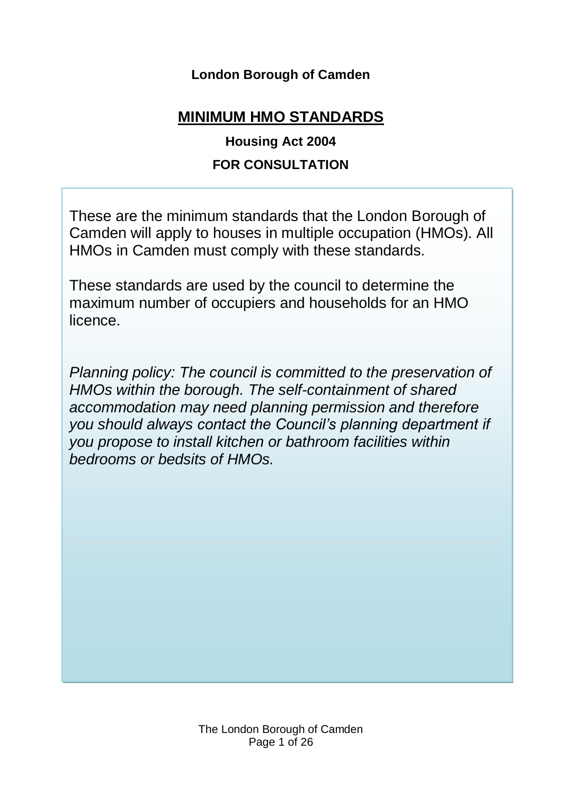# **London Borough of Camden**

# **MINIMUM HMO STANDARDS**

# **Housing Act 2004 FOR CONSULTATION**

These are the minimum standards that the London Borough of Camden will apply to houses in multiple occupation (HMOs). All HMOs in Camden must comply with these standards.

These standards are used by the council to determine the maximum number of occupiers and households for an HMO licence.

*Planning policy: The council is committed to the preservation of HMOs within the borough. The self-containment of shared accommodation may need planning permission and therefore you should always contact the Council's planning department if you propose to install kitchen or bathroom facilities within bedrooms or bedsits of HMOs.*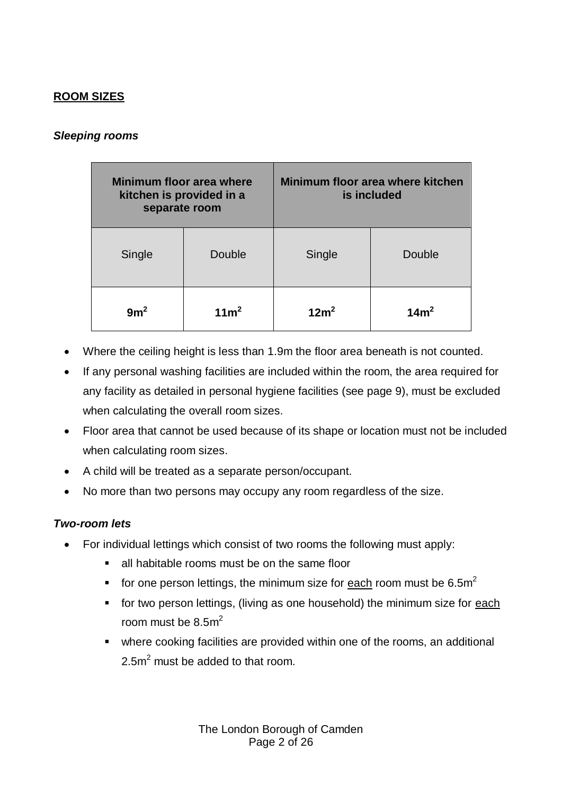## **ROOM SIZES**

## *Sleeping rooms*

| Minimum floor area where<br>kitchen is provided in a<br>separate room |                  |                  | Minimum floor area where kitchen<br>is included |
|-----------------------------------------------------------------------|------------------|------------------|-------------------------------------------------|
| Single                                                                | Double           | Single           | Double                                          |
| 9m <sup>2</sup>                                                       | 11m <sup>2</sup> | 12m <sup>2</sup> | 14m <sup>2</sup>                                |

- Where the ceiling height is less than 1.9m the floor area beneath is not counted.
- If any personal washing facilities are included within the room, the area required for any facility as detailed in personal hygiene facilities (see page 9), must be excluded when calculating the overall room sizes.
- Floor area that cannot be used because of its shape or location must not be included when calculating room sizes.
- A child will be treated as a separate person/occupant.
- No more than two persons may occupy any room regardless of the size.

## *Two-room lets*

- For individual lettings which consist of two rooms the following must apply:
	- all habitable rooms must be on the same floor
	- for one person lettings, the minimum size for each room must be 6.5m<sup>2</sup>
	- **for two person lettings, (living as one household) the minimum size for each** room must be  $8.5m<sup>2</sup>$
	- where cooking facilities are provided within one of the rooms, an additional  $2.5<sup>2</sup>$  must be added to that room.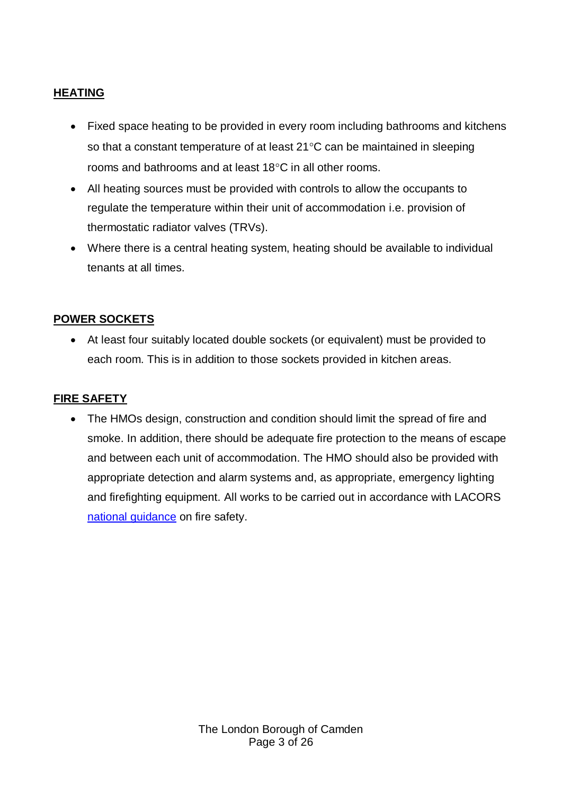## **HEATING**

- Fixed space heating to be provided in every room including bathrooms and kitchens so that a constant temperature of at least  $21^{\circ}$ C can be maintained in sleeping rooms and bathrooms and at least 18°C in all other rooms.
- All heating sources must be provided with controls to allow the occupants to regulate the temperature within their unit of accommodation i.e. provision of thermostatic radiator valves (TRVs).
- Where there is a central heating system, heating should be available to individual tenants at all times.

## **POWER SOCKETS**

 At least four suitably located double sockets (or equivalent) must be provided to each room. This is in addition to those sockets provided in kitchen areas.

## **FIRE SAFETY**

 The HMOs design, construction and condition should limit the spread of fire and smoke. In addition, there should be adequate fire protection to the means of escape and between each unit of accommodation. The HMO should also be provided with appropriate detection and alarm systems and, as appropriate, emergency lighting and firefighting equipment. All works to be carried out in accordance with LACORS [national guidance](http://www.cieh.org/library/Knowledge/Housing/National_fire_safety_guidance_08.pdf) on fire safety.

> The London Borough of Camden Page 3 of 26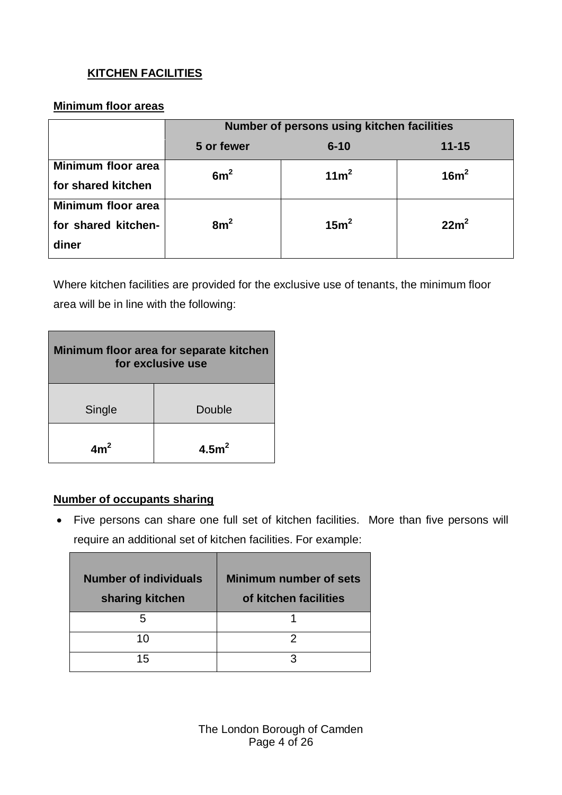## **KITCHEN FACILITIES**

## **Minimum floor areas**

|                                                    | Number of persons using kitchen facilities |                  |                  |  |
|----------------------------------------------------|--------------------------------------------|------------------|------------------|--|
|                                                    | 5 or fewer                                 | $6 - 10$         | $11 - 15$        |  |
| Minimum floor area<br>for shared kitchen           | 6m <sup>2</sup>                            | 11m <sup>2</sup> | 16m <sup>2</sup> |  |
| Minimum floor area<br>for shared kitchen-<br>diner | 8m <sup>2</sup>                            | 15m <sup>2</sup> | 22m <sup>2</sup> |  |

Where kitchen facilities are provided for the exclusive use of tenants, the minimum floor area will be in line with the following:

| Minimum floor area for separate kitchen<br>for exclusive use |                  |  |  |
|--------------------------------------------------------------|------------------|--|--|
| Single                                                       | Double           |  |  |
| $Am^2$                                                       | 4.5 <sup>2</sup> |  |  |

## **Number of occupants sharing**

П

 Five persons can share one full set of kitchen facilities. More than five persons will require an additional set of kitchen facilities. For example:

| <b>Number of individuals</b><br>sharing kitchen | Minimum number of sets<br>of kitchen facilities |
|-------------------------------------------------|-------------------------------------------------|
|                                                 |                                                 |
| 10                                              |                                                 |
| 15                                              | 3                                               |

The London Borough of Camden Page 4 of 26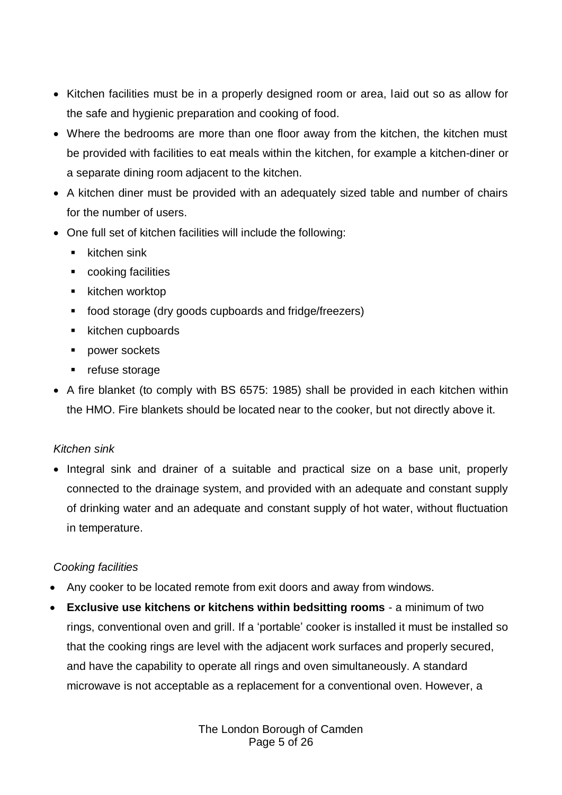- Kitchen facilities must be in a properly designed room or area, laid out so as allow for the safe and hygienic preparation and cooking of food.
- Where the bedrooms are more than one floor away from the kitchen, the kitchen must be provided with facilities to eat meals within the kitchen, for example a kitchen-diner or a separate dining room adjacent to the kitchen.
- A kitchen diner must be provided with an adequately sized table and number of chairs for the number of users.
- One full set of kitchen facilities will include the following:
	- $\blacksquare$  kitchen sink
	- cooking facilities
	- $\blacksquare$  kitchen worktop
	- food storage (dry goods cupboards and fridge/freezers)
	- **EXECUTED** kitchen cupboards
	- **power sockets**
	- **•** refuse storage
- A fire blanket (to comply with BS 6575: 1985) shall be provided in each kitchen within the HMO. Fire blankets should be located near to the cooker, but not directly above it.

## *Kitchen sink*

• Integral sink and drainer of a suitable and practical size on a base unit, properly connected to the drainage system, and provided with an adequate and constant supply of drinking water and an adequate and constant supply of hot water, without fluctuation in temperature.

## *Cooking facilities*

- Any cooker to be located remote from exit doors and away from windows.
- **Exclusive use kitchens or kitchens within bedsitting rooms** a minimum of two rings, conventional oven and grill. If a 'portable' cooker is installed it must be installed so that the cooking rings are level with the adjacent work surfaces and properly secured, and have the capability to operate all rings and oven simultaneously. A standard microwave is not acceptable as a replacement for a conventional oven. However, a

The London Borough of Camden Page 5 of 26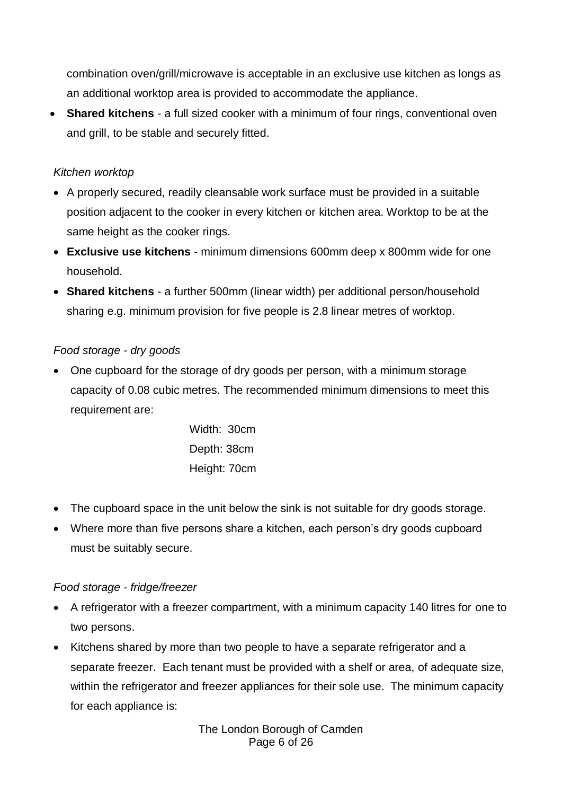combination oven/grill/microwave is acceptable in an exclusive use kitchen as longs as an additional worktop area is provided to accommodate the appliance.

 **Shared kitchens** - a full sized cooker with a minimum of four rings, conventional oven and grill, to be stable and securely fitted.

### *Kitchen worktop*

- A properly secured, readily cleansable work surface must be provided in a suitable position adjacent to the cooker in every kitchen or kitchen area. Worktop to be at the same height as the cooker rings.
- **Exclusive use kitchens** minimum dimensions 600mm deep x 800mm wide for one household.
- **Shared kitchens** a further 500mm (linear width) per additional person/household sharing e.g. minimum provision for five people is 2.8 linear metres of worktop.

### *Food storage - dry goods*

• One cupboard for the storage of dry goods per person, with a minimum storage capacity of 0.08 cubic metres. The recommended minimum dimensions to meet this requirement are:

> Width: 30cm Depth: 38cm Height: 70cm

- The cupboard space in the unit below the sink is not suitable for dry goods storage.
- Where more than five persons share a kitchen, each person's dry goods cupboard must be suitably secure.

#### *Food storage - fridge/freezer*

- A refrigerator with a freezer compartment, with a minimum capacity 140 litres for one to two persons.
- Kitchens shared by more than two people to have a separate refrigerator and a separate freezer. Each tenant must be provided with a shelf or area, of adequate size, within the refrigerator and freezer appliances for their sole use. The minimum capacity for each appliance is:

The London Borough of Camden Page 6 of 26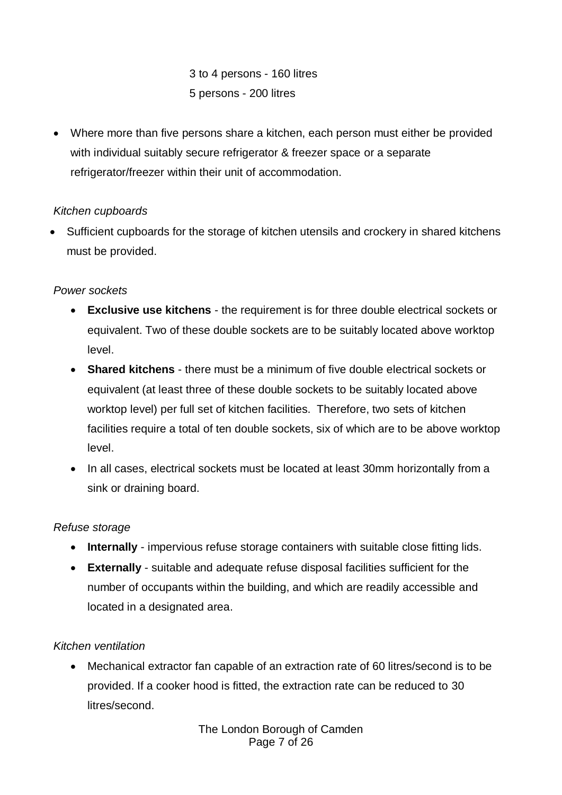3 to 4 persons - 160 litres 5 persons - 200 litres

 Where more than five persons share a kitchen, each person must either be provided with individual suitably secure refrigerator & freezer space or a separate refrigerator/freezer within their unit of accommodation.

## *Kitchen cupboards*

 Sufficient cupboards for the storage of kitchen utensils and crockery in shared kitchens must be provided.

## *Power sockets*

- **Exclusive use kitchens** the requirement is for three double electrical sockets or equivalent. Two of these double sockets are to be suitably located above worktop level.
- **Shared kitchens** there must be a minimum of five double electrical sockets or equivalent (at least three of these double sockets to be suitably located above worktop level) per full set of kitchen facilities. Therefore, two sets of kitchen facilities require a total of ten double sockets, six of which are to be above worktop level.
- In all cases, electrical sockets must be located at least 30mm horizontally from a sink or draining board.

## *Refuse storage*

- **Internally** impervious refuse storage containers with suitable close fitting lids.
- **Externally** suitable and adequate refuse disposal facilities sufficient for the number of occupants within the building, and which are readily accessible and located in a designated area.

## *Kitchen ventilation*

 Mechanical extractor fan capable of an extraction rate of 60 litres/second is to be provided. If a cooker hood is fitted, the extraction rate can be reduced to 30 litres/second.

> The London Borough of Camden Page 7 of 26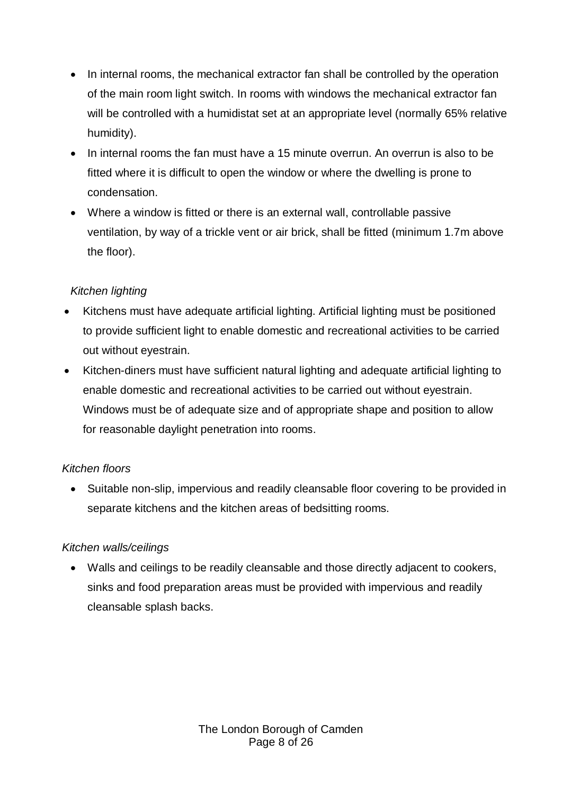- In internal rooms, the mechanical extractor fan shall be controlled by the operation of the main room light switch. In rooms with windows the mechanical extractor fan will be controlled with a humidistat set at an appropriate level (normally 65% relative humidity).
- In internal rooms the fan must have a 15 minute overrun. An overrun is also to be fitted where it is difficult to open the window or where the dwelling is prone to condensation.
- Where a window is fitted or there is an external wall, controllable passive ventilation, by way of a trickle vent or air brick, shall be fitted (minimum 1.7m above the floor).

## *Kitchen lighting*

- Kitchens must have adequate artificial lighting. Artificial lighting must be positioned to provide sufficient light to enable domestic and recreational activities to be carried out without eyestrain.
- Kitchen-diners must have sufficient natural lighting and adequate artificial lighting to enable domestic and recreational activities to be carried out without eyestrain. Windows must be of adequate size and of appropriate shape and position to allow for reasonable daylight penetration into rooms.

## *Kitchen floors*

• Suitable non-slip, impervious and readily cleansable floor covering to be provided in separate kitchens and the kitchen areas of bedsitting rooms.

## *Kitchen walls/ceilings*

 Walls and ceilings to be readily cleansable and those directly adjacent to cookers, sinks and food preparation areas must be provided with impervious and readily cleansable splash backs.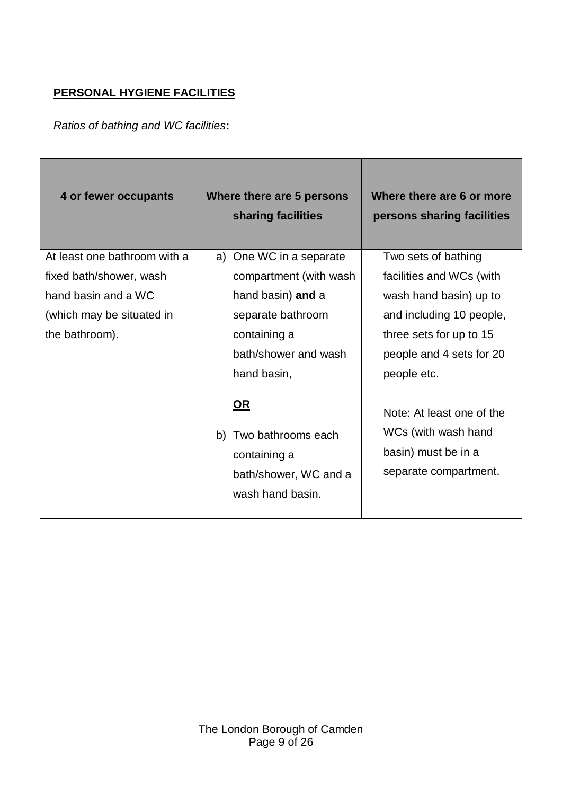## **PERSONAL HYGIENE FACILITIES**

*Ratios of bathing and WC facilities***:**

| 4 or fewer occupants         | Where there are 5 persons<br>sharing facilities                                                    | Where there are 6 or more<br>persons sharing facilities                                          |
|------------------------------|----------------------------------------------------------------------------------------------------|--------------------------------------------------------------------------------------------------|
| At least one bathroom with a | a) One WC in a separate                                                                            | Two sets of bathing                                                                              |
| fixed bath/shower, wash      | compartment (with wash                                                                             | facilities and WCs (with                                                                         |
| hand basin and a WC          | hand basin) and a                                                                                  | wash hand basin) up to                                                                           |
| (which may be situated in    | separate bathroom                                                                                  | and including 10 people,                                                                         |
| the bathroom).               | containing a                                                                                       | three sets for up to 15                                                                          |
|                              | bath/shower and wash                                                                               | people and 4 sets for 20                                                                         |
|                              | hand basin,                                                                                        | people etc.                                                                                      |
|                              | <u>OR</u><br>Two bathrooms each<br>b)<br>containing a<br>bath/shower, WC and a<br>wash hand basin. | Note: At least one of the<br>WCs (with wash hand<br>basin) must be in a<br>separate compartment. |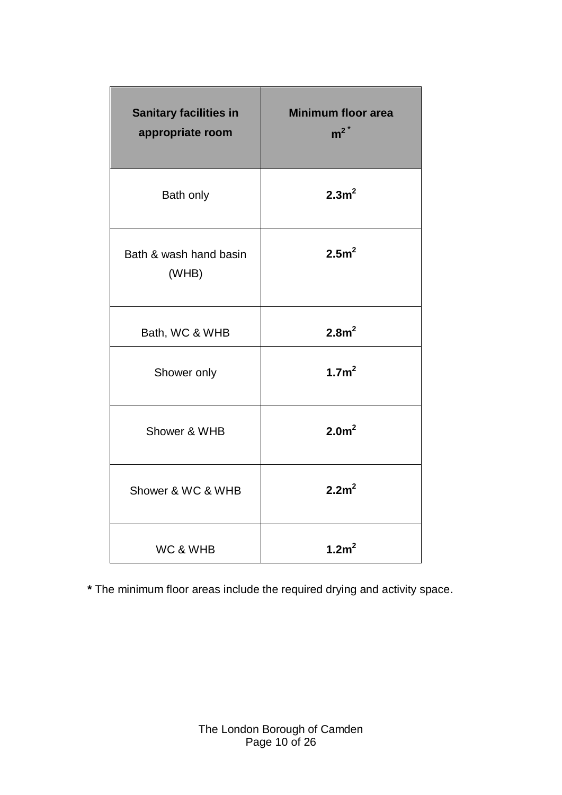| <b>Sanitary facilities in</b><br>appropriate room | <b>Minimum floor area</b><br>$m^2$ <sup>*</sup> |
|---------------------------------------------------|-------------------------------------------------|
| Bath only                                         | 2.3m <sup>2</sup>                               |
| Bath & wash hand basin<br>(WHB)                   | 2.5m <sup>2</sup>                               |
| Bath, WC & WHB                                    | 2.8m <sup>2</sup>                               |
| Shower only                                       | 1.7m <sup>2</sup>                               |
| Shower & WHB                                      | 2.0 <sup>m²</sup>                               |
| Shower & WC & WHB                                 | 2.2m <sup>2</sup>                               |
| WC & WHB                                          | 1.2m <sup>2</sup>                               |

**\*** The minimum floor areas include the required drying and activity space.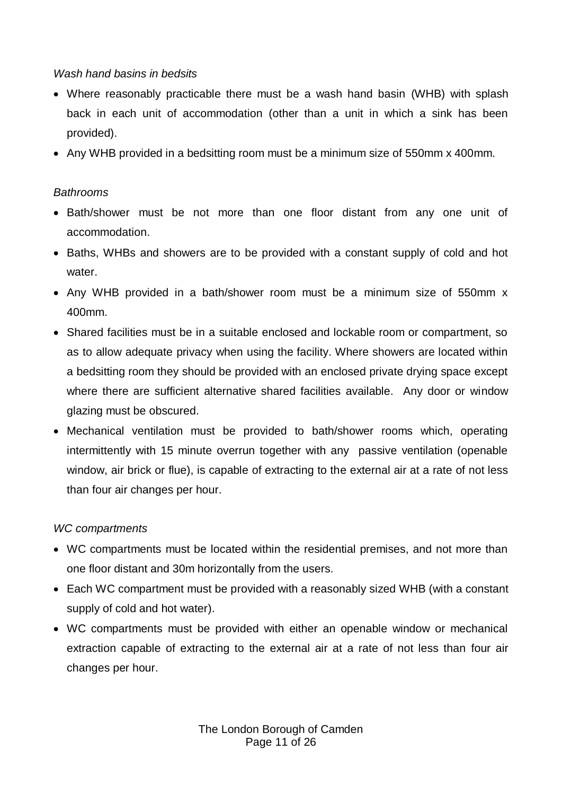### *Wash hand basins in bedsits*

- Where reasonably practicable there must be a wash hand basin (WHB) with splash back in each unit of accommodation (other than a unit in which a sink has been provided).
- Any WHB provided in a bedsitting room must be a minimum size of 550mm x 400mm.

### *Bathrooms*

- Bath/shower must be not more than one floor distant from any one unit of accommodation.
- Baths, WHBs and showers are to be provided with a constant supply of cold and hot water.
- Any WHB provided in a bath/shower room must be a minimum size of 550mm x 400mm.
- Shared facilities must be in a suitable enclosed and lockable room or compartment, so as to allow adequate privacy when using the facility. Where showers are located within a bedsitting room they should be provided with an enclosed private drying space except where there are sufficient alternative shared facilities available. Any door or window glazing must be obscured.
- Mechanical ventilation must be provided to bath/shower rooms which, operating intermittently with 15 minute overrun together with any passive ventilation (openable window, air brick or flue), is capable of extracting to the external air at a rate of not less than four air changes per hour.

#### *WC compartments*

- WC compartments must be located within the residential premises, and not more than one floor distant and 30m horizontally from the users.
- Each WC compartment must be provided with a reasonably sized WHB (with a constant supply of cold and hot water).
- WC compartments must be provided with either an openable window or mechanical extraction capable of extracting to the external air at a rate of not less than four air changes per hour.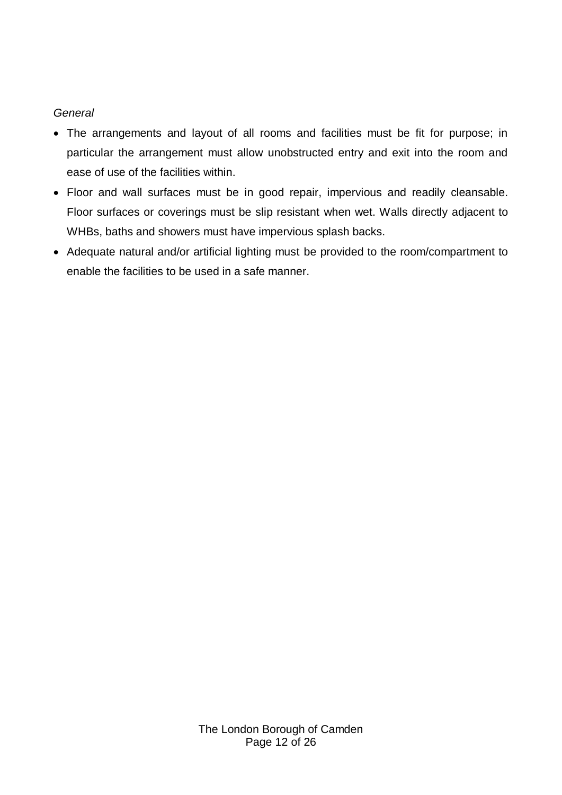#### *General*

- The arrangements and layout of all rooms and facilities must be fit for purpose; in particular the arrangement must allow unobstructed entry and exit into the room and ease of use of the facilities within.
- Floor and wall surfaces must be in good repair, impervious and readily cleansable. Floor surfaces or coverings must be slip resistant when wet. Walls directly adjacent to WHBs, baths and showers must have impervious splash backs.
- Adequate natural and/or artificial lighting must be provided to the room/compartment to enable the facilities to be used in a safe manner.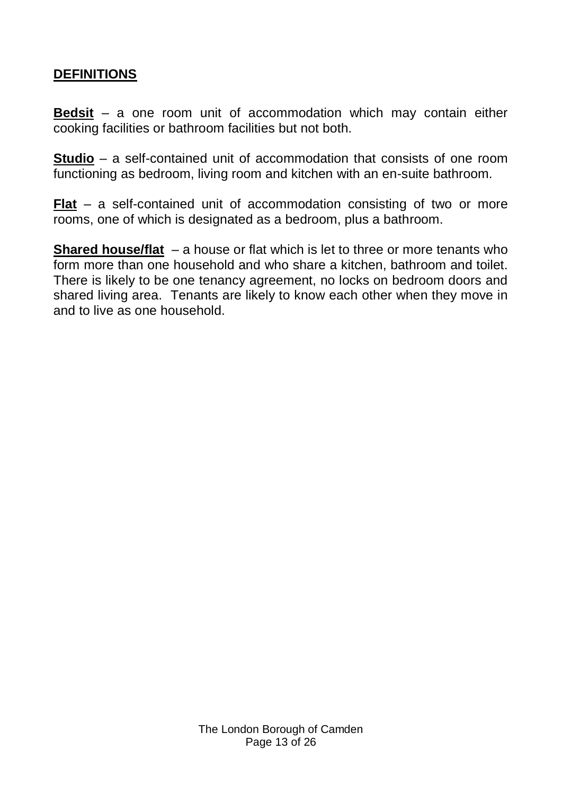# **DEFINITIONS**

**Bedsit** – a one room unit of accommodation which may contain either cooking facilities or bathroom facilities but not both.

**Studio** – a self-contained unit of accommodation that consists of one room functioning as bedroom, living room and kitchen with an en-suite bathroom.

**Flat** – a self-contained unit of accommodation consisting of two or more rooms, one of which is designated as a bedroom, plus a bathroom.

**Shared house/flat** – a house or flat which is let to three or more tenants who form more than one household and who share a kitchen, bathroom and toilet. There is likely to be one tenancy agreement, no locks on bedroom doors and shared living area. Tenants are likely to know each other when they move in and to live as one household.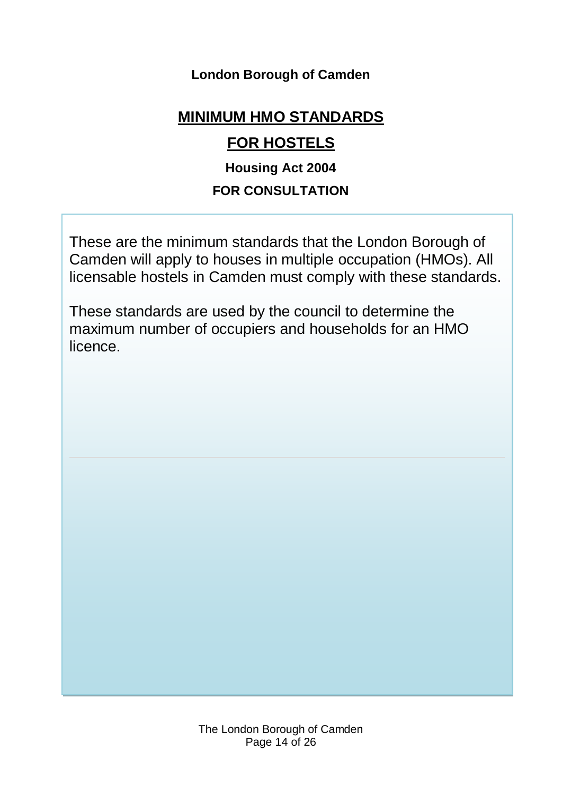# **London Borough of Camden**

# **MINIMUM HMO STANDARDS**

# **FOR HOSTELS**

# **Housing Act 2004**

# **FOR CONSULTATION**

These are the minimum standards that the London Borough of Camden will apply to houses in multiple occupation (HMOs). All licensable hostels in Camden must comply with these standards.

These standards are used by the council to determine the maximum number of occupiers and households for an HMO licence.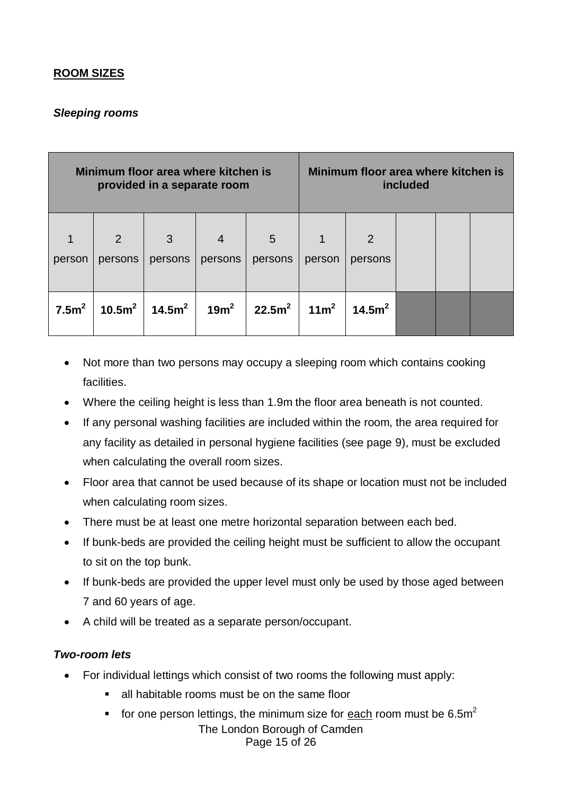## **ROOM SIZES**

## *Sleeping rooms*

| Minimum floor area where kitchen is<br>provided in a separate room |              |              |                  | Minimum floor area where kitchen is | included         |                           |  |  |
|--------------------------------------------------------------------|--------------|--------------|------------------|-------------------------------------|------------------|---------------------------|--|--|
| 1<br>person                                                        | 2<br>persons | 3<br>persons | 4<br>persons     | 5<br>persons                        | person           | $\overline{2}$<br>persons |  |  |
| 7.5m <sup>2</sup>                                                  | 10.5 $m^2$   | 14.5 $m^2$   | 19m <sup>2</sup> | 22.5m <sup>2</sup>                  | 11m <sup>2</sup> | 14.5m <sup>2</sup>        |  |  |

- Not more than two persons may occupy a sleeping room which contains cooking facilities.
- Where the ceiling height is less than 1.9m the floor area beneath is not counted.
- If any personal washing facilities are included within the room, the area required for any facility as detailed in personal hygiene facilities (see page 9), must be excluded when calculating the overall room sizes.
- Floor area that cannot be used because of its shape or location must not be included when calculating room sizes.
- There must be at least one metre horizontal separation between each bed.
- If bunk-beds are provided the ceiling height must be sufficient to allow the occupant to sit on the top bunk.
- If bunk-beds are provided the upper level must only be used by those aged between 7 and 60 years of age.
- A child will be treated as a separate person/occupant.

## *Two-room lets*

- For individual lettings which consist of two rooms the following must apply:
	- all habitable rooms must be on the same floor
	- The London Borough of Camden Page 15 of 26 for one person lettings, the minimum size for each room must be  $6.5m<sup>2</sup>$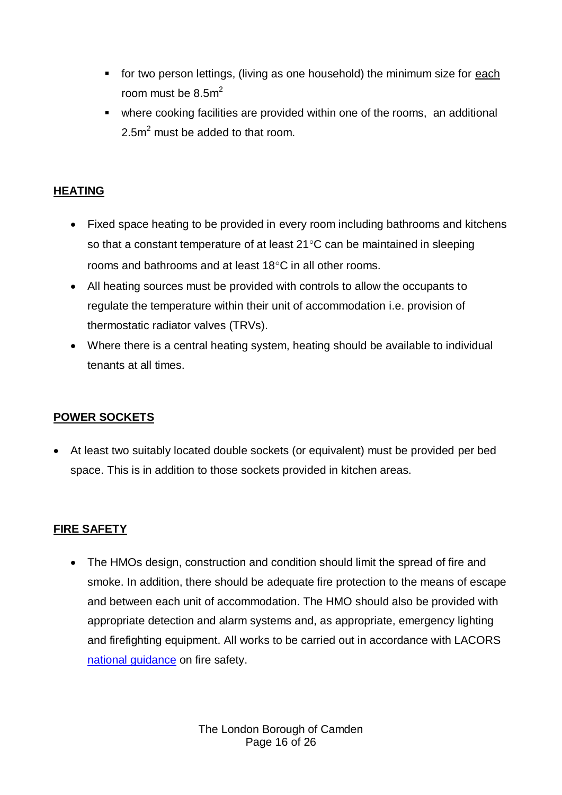- **for two person lettings, (living as one household) the minimum size for each** room must be  $8.5m^2$
- where cooking facilities are provided within one of the rooms, an additional 2.5m<sup>2</sup> must be added to that room.

## **HEATING**

- Fixed space heating to be provided in every room including bathrooms and kitchens so that a constant temperature of at least  $21^{\circ}$ C can be maintained in sleeping rooms and bathrooms and at least  $18^{\circ}$ C in all other rooms.
- All heating sources must be provided with controls to allow the occupants to regulate the temperature within their unit of accommodation i.e. provision of thermostatic radiator valves (TRVs).
- Where there is a central heating system, heating should be available to individual tenants at all times.

## **POWER SOCKETS**

 At least two suitably located double sockets (or equivalent) must be provided per bed space. This is in addition to those sockets provided in kitchen areas.

## **FIRE SAFETY**

• The HMOs design, construction and condition should limit the spread of fire and smoke. In addition, there should be adequate fire protection to the means of escape and between each unit of accommodation. The HMO should also be provided with appropriate detection and alarm systems and, as appropriate, emergency lighting and firefighting equipment. All works to be carried out in accordance with LACORS [national guidance](http://www.cieh.org/library/Knowledge/Housing/National_fire_safety_guidance_08.pdf) on fire safety.

> The London Borough of Camden Page 16 of 26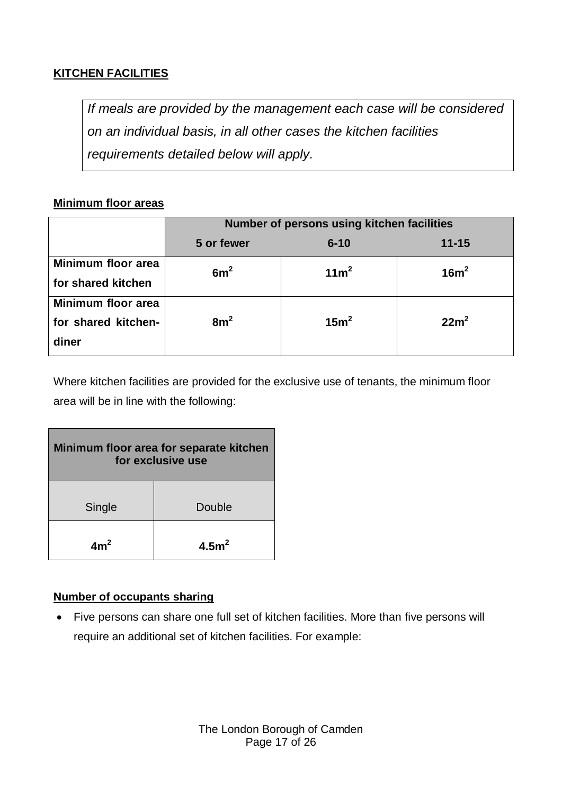## **KITCHEN FACILITIES**

*If meals are provided by the management each case will be considered on an individual basis, in all other cases the kitchen facilities requirements detailed below will apply.*

## **Minimum floor areas**

|                                                    | Number of persons using kitchen facilities |                  |                  |  |
|----------------------------------------------------|--------------------------------------------|------------------|------------------|--|
|                                                    | 5 or fewer                                 | $6 - 10$         | $11 - 15$        |  |
| Minimum floor area<br>for shared kitchen           | 6m <sup>2</sup>                            | 11m <sup>2</sup> | 16m <sup>2</sup> |  |
| Minimum floor area<br>for shared kitchen-<br>diner | 8m <sup>2</sup>                            | 15m <sup>2</sup> | 22m <sup>2</sup> |  |

Where kitchen facilities are provided for the exclusive use of tenants, the minimum floor area will be in line with the following:

| Minimum floor area for separate kitchen<br>for exclusive use |                  |  |
|--------------------------------------------------------------|------------------|--|
| Single                                                       | Double           |  |
| $Am^2$                                                       | 4.5 <sup>2</sup> |  |

## **Number of occupants sharing**

 Five persons can share one full set of kitchen facilities. More than five persons will require an additional set of kitchen facilities. For example: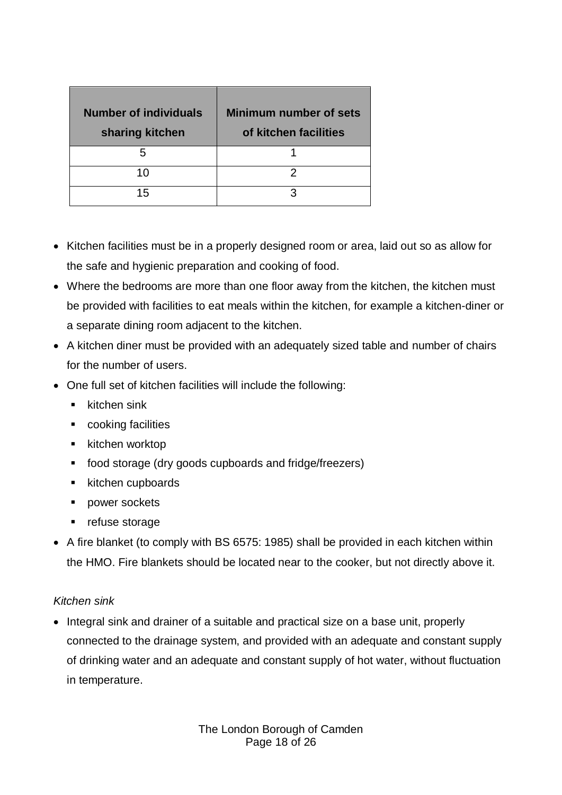| <b>Number of individuals</b><br>sharing kitchen | <b>Minimum number of sets</b><br>of kitchen facilities |
|-------------------------------------------------|--------------------------------------------------------|
| h                                               |                                                        |
| 10                                              |                                                        |
| 15                                              |                                                        |

- Kitchen facilities must be in a properly designed room or area, laid out so as allow for the safe and hygienic preparation and cooking of food.
- Where the bedrooms are more than one floor away from the kitchen, the kitchen must be provided with facilities to eat meals within the kitchen, for example a kitchen-diner or a separate dining room adjacent to the kitchen.
- A kitchen diner must be provided with an adequately sized table and number of chairs for the number of users.
- One full set of kitchen facilities will include the following:
	- $\blacksquare$  kitchen sink
	- **•** cooking facilities
	- $\blacksquare$  kitchen worktop
	- food storage (dry goods cupboards and fridge/freezers)
	- $\blacksquare$  kitchen cupboards
	- **power sockets**
	- refuse storage
- A fire blanket (to comply with BS 6575: 1985) shall be provided in each kitchen within the HMO. Fire blankets should be located near to the cooker, but not directly above it.

## *Kitchen sink*

• Integral sink and drainer of a suitable and practical size on a base unit, properly connected to the drainage system, and provided with an adequate and constant supply of drinking water and an adequate and constant supply of hot water, without fluctuation in temperature.

> The London Borough of Camden Page 18 of 26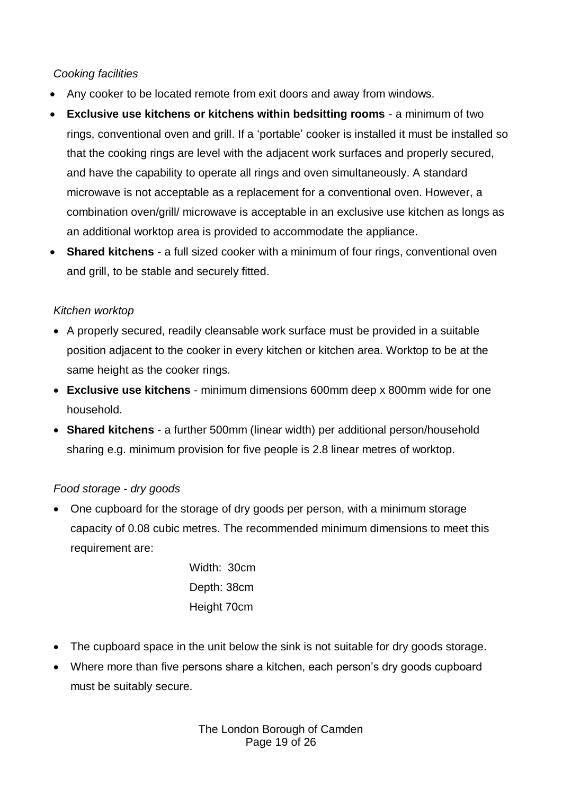## *Cooking facilities*

- Any cooker to be located remote from exit doors and away from windows.
- **Exclusive use kitchens or kitchens within bedsitting rooms** a minimum of two rings, conventional oven and grill. If a 'portable' cooker is installed it must be installed so that the cooking rings are level with the adjacent work surfaces and properly secured, and have the capability to operate all rings and oven simultaneously. A standard microwave is not acceptable as a replacement for a conventional oven. However, a combination oven/grill/ microwave is acceptable in an exclusive use kitchen as longs as an additional worktop area is provided to accommodate the appliance.
- **Shared kitchens** a full sized cooker with a minimum of four rings, conventional oven and grill, to be stable and securely fitted.

## *Kitchen worktop*

- A properly secured, readily cleansable work surface must be provided in a suitable position adjacent to the cooker in every kitchen or kitchen area. Worktop to be at the same height as the cooker rings.
- **Exclusive use kitchens**  minimum dimensions 600mm deep x 800mm wide for one household.
- **Shared kitchens** a further 500mm (linear width) per additional person/household sharing e.g. minimum provision for five people is 2.8 linear metres of worktop.

## *Food storage - dry goods*

• One cupboard for the storage of dry goods per person, with a minimum storage capacity of 0.08 cubic metres. The recommended minimum dimensions to meet this requirement are:

> Width: 30cm Depth: 38cm Height 70cm

- The cupboard space in the unit below the sink is not suitable for dry goods storage.
- Where more than five persons share a kitchen, each person's dry goods cupboard must be suitably secure.

The London Borough of Camden Page 19 of 26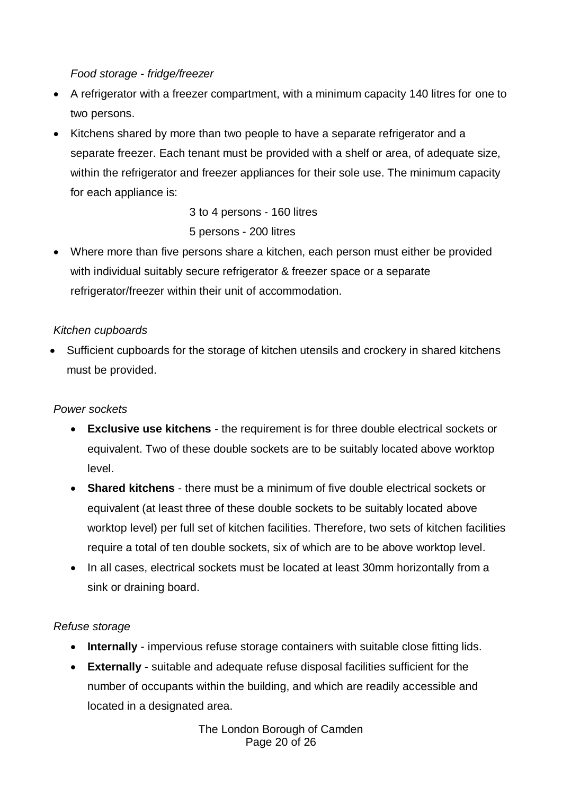## *Food storage - fridge/freezer*

- A refrigerator with a freezer compartment, with a minimum capacity 140 litres for one to two persons.
- Kitchens shared by more than two people to have a separate refrigerator and a separate freezer. Each tenant must be provided with a shelf or area, of adequate size, within the refrigerator and freezer appliances for their sole use. The minimum capacity for each appliance is:

3 to 4 persons - 160 litres 5 persons - 200 litres

 Where more than five persons share a kitchen, each person must either be provided with individual suitably secure refrigerator & freezer space or a separate refrigerator/freezer within their unit of accommodation.

## *Kitchen cupboards*

 Sufficient cupboards for the storage of kitchen utensils and crockery in shared kitchens must be provided.

## *Power sockets*

- **Exclusive use kitchens** the requirement is for three double electrical sockets or equivalent. Two of these double sockets are to be suitably located above worktop level.
- **Shared kitchens** there must be a minimum of five double electrical sockets or equivalent (at least three of these double sockets to be suitably located above worktop level) per full set of kitchen facilities. Therefore, two sets of kitchen facilities require a total of ten double sockets, six of which are to be above worktop level.
- In all cases, electrical sockets must be located at least 30mm horizontally from a sink or draining board.

## *Refuse storage*

- **Internally** impervious refuse storage containers with suitable close fitting lids.
- **Externally** suitable and adequate refuse disposal facilities sufficient for the number of occupants within the building, and which are readily accessible and located in a designated area.

The London Borough of Camden Page 20 of 26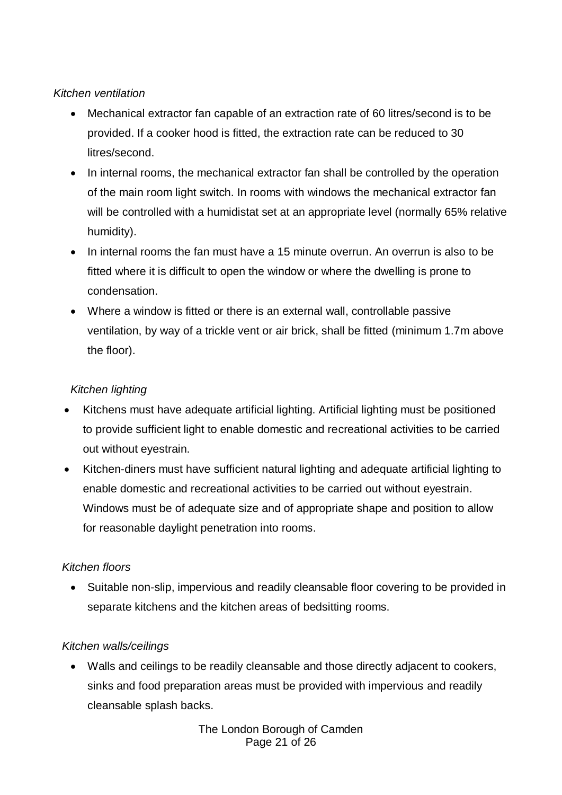## *Kitchen ventilation*

- Mechanical extractor fan capable of an extraction rate of 60 litres/second is to be provided. If a cooker hood is fitted, the extraction rate can be reduced to 30 litres/second.
- In internal rooms, the mechanical extractor fan shall be controlled by the operation of the main room light switch. In rooms with windows the mechanical extractor fan will be controlled with a humidistat set at an appropriate level (normally 65% relative humidity).
- In internal rooms the fan must have a 15 minute overrun. An overrun is also to be fitted where it is difficult to open the window or where the dwelling is prone to condensation.
- Where a window is fitted or there is an external wall, controllable passive ventilation, by way of a trickle vent or air brick, shall be fitted (minimum 1.7m above the floor).

## *Kitchen lighting*

- Kitchens must have adequate artificial lighting. Artificial lighting must be positioned to provide sufficient light to enable domestic and recreational activities to be carried out without eyestrain.
- Kitchen-diners must have sufficient natural lighting and adequate artificial lighting to enable domestic and recreational activities to be carried out without eyestrain. Windows must be of adequate size and of appropriate shape and position to allow for reasonable daylight penetration into rooms.

## *Kitchen floors*

• Suitable non-slip, impervious and readily cleansable floor covering to be provided in separate kitchens and the kitchen areas of bedsitting rooms.

## *Kitchen walls/ceilings*

 Walls and ceilings to be readily cleansable and those directly adjacent to cookers, sinks and food preparation areas must be provided with impervious and readily cleansable splash backs.

> The London Borough of Camden Page 21 of 26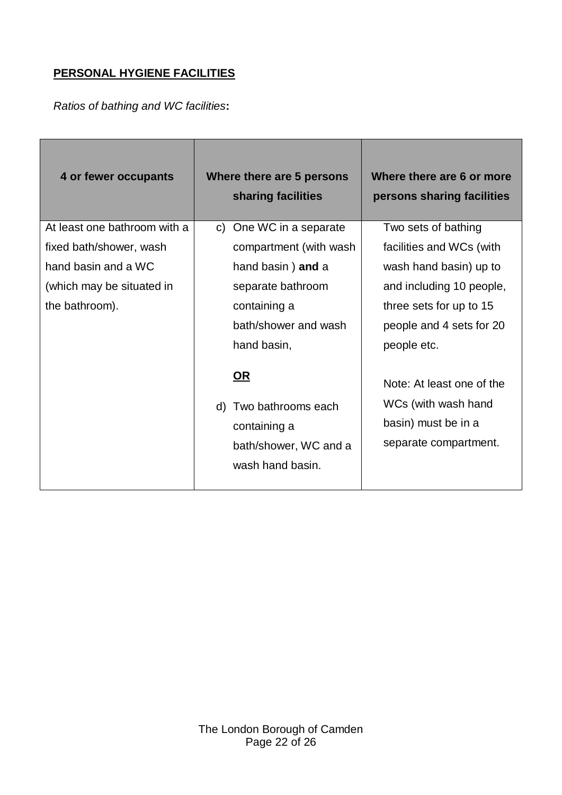## **PERSONAL HYGIENE FACILITIES**

*Ratios of bathing and WC facilities***:**

| 4 or fewer occupants         | Where there are 5 persons<br>sharing facilities | Where there are 6 or more<br>persons sharing facilities |
|------------------------------|-------------------------------------------------|---------------------------------------------------------|
| At least one bathroom with a | One WC in a separate<br>C)                      | Two sets of bathing                                     |
| fixed bath/shower, wash      | compartment (with wash                          | facilities and WCs (with                                |
| hand basin and a WC          | hand basin) and a                               | wash hand basin) up to                                  |
| (which may be situated in    | separate bathroom                               | and including 10 people,                                |
| the bathroom).               | containing a                                    | three sets for up to 15                                 |
|                              | bath/shower and wash                            | people and 4 sets for 20                                |
|                              | hand basin,                                     | people etc.                                             |
|                              | <u>OR</u>                                       | Note: At least one of the                               |
|                              | d) Two bathrooms each                           | WCs (with wash hand                                     |
|                              | containing a                                    | basin) must be in a                                     |
|                              | bath/shower, WC and a                           | separate compartment.                                   |
|                              | wash hand basin.                                |                                                         |
|                              |                                                 |                                                         |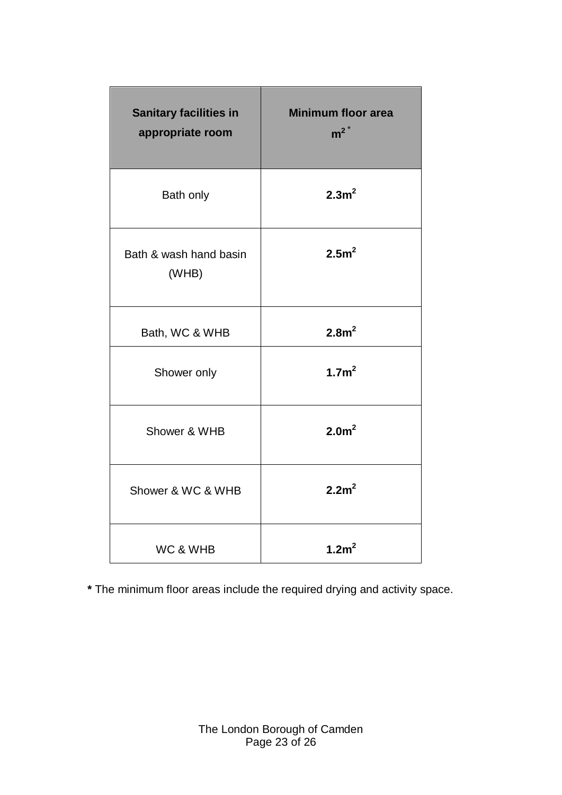| <b>Sanitary facilities in</b><br>appropriate room | <b>Minimum floor area</b><br>$m^2$ <sup>*</sup> |
|---------------------------------------------------|-------------------------------------------------|
| Bath only                                         | 2.3m <sup>2</sup>                               |
| Bath & wash hand basin<br>(WHB)                   | 2.5m <sup>2</sup>                               |
| Bath, WC & WHB                                    | 2.8m <sup>2</sup>                               |
| Shower only                                       | 1.7m <sup>2</sup>                               |
| Shower & WHB                                      | 2.0 <sup>m²</sup>                               |
| Shower & WC & WHB                                 | 2.2m <sup>2</sup>                               |
| WC & WHB                                          | 1.2m <sup>2</sup>                               |

**\*** The minimum floor areas include the required drying and activity space.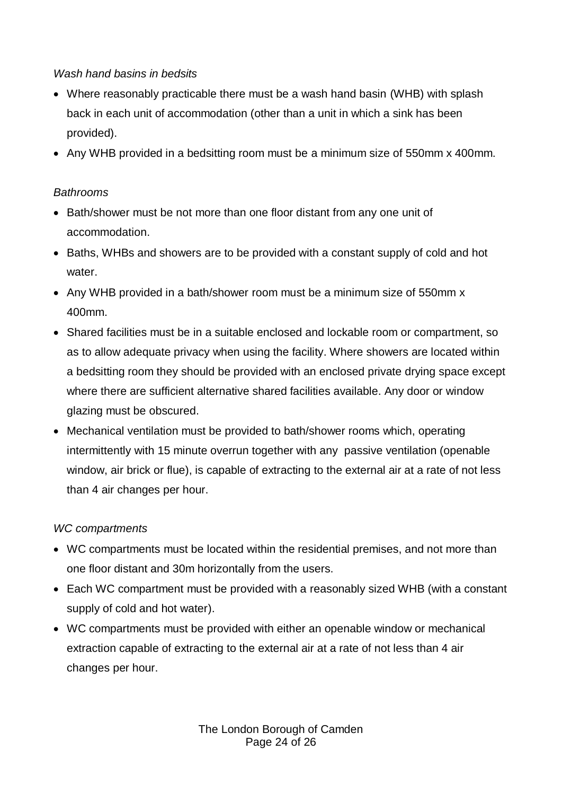## *Wash hand basins in bedsits*

- Where reasonably practicable there must be a wash hand basin (WHB) with splash back in each unit of accommodation (other than a unit in which a sink has been provided).
- Any WHB provided in a bedsitting room must be a minimum size of 550mm x 400mm.

## *Bathrooms*

- Bath/shower must be not more than one floor distant from any one unit of accommodation.
- Baths, WHBs and showers are to be provided with a constant supply of cold and hot water.
- Any WHB provided in a bath/shower room must be a minimum size of 550mm x 400mm.
- Shared facilities must be in a suitable enclosed and lockable room or compartment, so as to allow adequate privacy when using the facility. Where showers are located within a bedsitting room they should be provided with an enclosed private drying space except where there are sufficient alternative shared facilities available. Any door or window glazing must be obscured.
- Mechanical ventilation must be provided to bath/shower rooms which, operating intermittently with 15 minute overrun together with any passive ventilation (openable window, air brick or flue), is capable of extracting to the external air at a rate of not less than 4 air changes per hour.

## *WC compartments*

- WC compartments must be located within the residential premises, and not more than one floor distant and 30m horizontally from the users.
- Each WC compartment must be provided with a reasonably sized WHB (with a constant supply of cold and hot water).
- WC compartments must be provided with either an openable window or mechanical extraction capable of extracting to the external air at a rate of not less than 4 air changes per hour.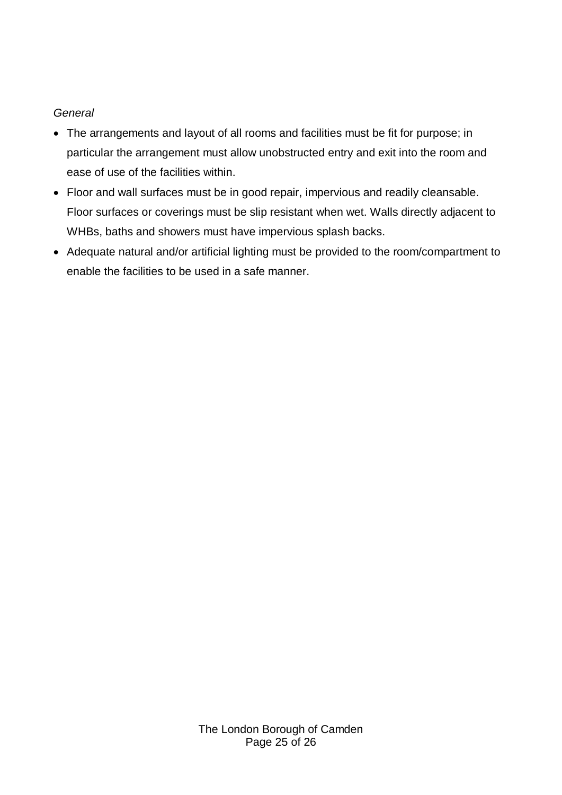### *General*

- The arrangements and layout of all rooms and facilities must be fit for purpose; in particular the arrangement must allow unobstructed entry and exit into the room and ease of use of the facilities within.
- Floor and wall surfaces must be in good repair, impervious and readily cleansable. Floor surfaces or coverings must be slip resistant when wet. Walls directly adjacent to WHBs, baths and showers must have impervious splash backs.
- Adequate natural and/or artificial lighting must be provided to the room/compartment to enable the facilities to be used in a safe manner.